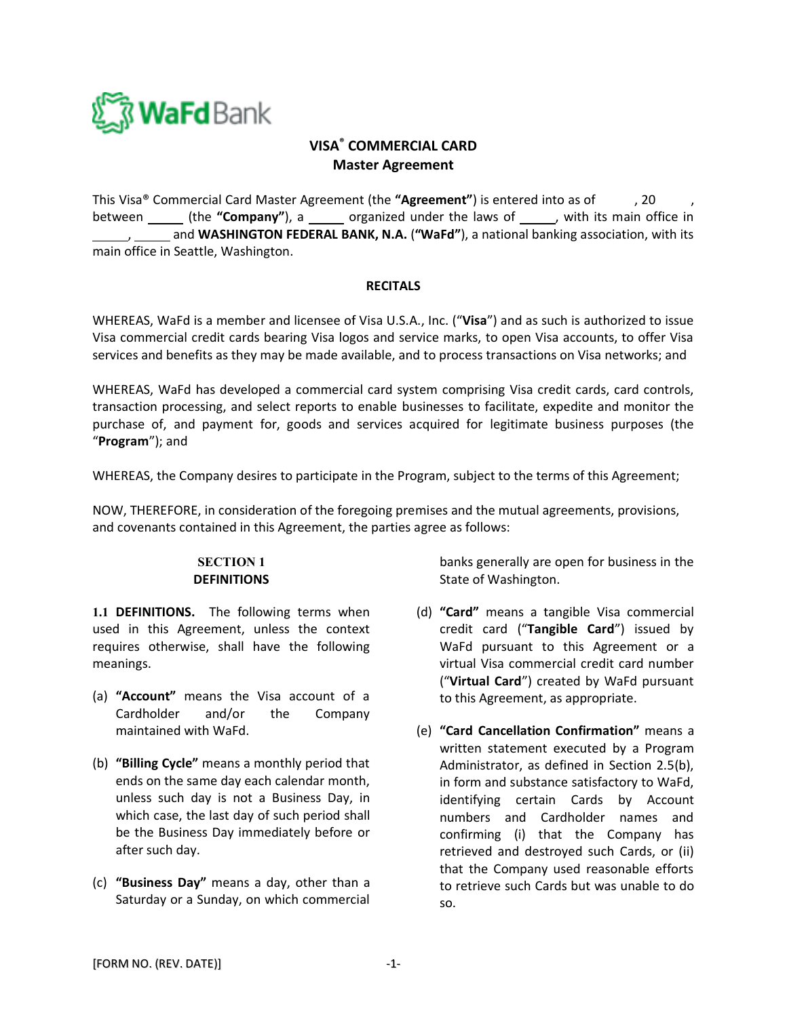

# **VISA® COMMERCIAL CARD Master Agreement**

This Visa® Commercial Card Master Agreement (the **"Agreement"**) is entered into as of , 20 , between \_\_\_\_\_\_ (the "**Company**"), a \_\_\_\_\_\_ organized under the laws of \_\_\_\_\_\_, with its main office in , and **WASHINGTON FEDERAL BANK, N.A.** (**"WaFd"**), a national banking association, with its main office in Seattle, Washington.

### **RECITALS**

WHEREAS, WaFd is a member and licensee of Visa U.S.A., Inc. ("**Visa**") and as such is authorized to issue Visa commercial credit cards bearing Visa logos and service marks, to open Visa accounts, to offer Visa services and benefits as they may be made available, and to process transactions on Visa networks; and

WHEREAS, WaFd has developed a commercial card system comprising Visa credit cards, card controls, transaction processing, and select reports to enable businesses to facilitate, expedite and monitor the purchase of, and payment for, goods and services acquired for legitimate business purposes (the "**Program**"); and

WHEREAS, the Company desires to participate in the Program, subject to the terms of this Agreement;

NOW, THEREFORE, in consideration of the foregoing premises and the mutual agreements, provisions, and covenants contained in this Agreement, the parties agree as follows:

## **SECTION 1 DEFINITIONS**

**1.1 DEFINITIONS.** The following terms when used in this Agreement, unless the context requires otherwise, shall have the following meanings.

- (a) **"Account"** means the Visa account of a Cardholder and/or the Company maintained with WaFd.
- (b) **"Billing Cycle"** means a monthly period that ends on the same day each calendar month, unless such day is not a Business Day, in which case, the last day of such period shall be the Business Day immediately before or after such day.
- (c) **"Business Day"** means a day, other than a Saturday or a Sunday, on which commercial

banks generally are open for business in the State of Washington.

- (d) **"Card"** means a tangible Visa commercial credit card ("**Tangible Card**") issued by WaFd pursuant to this Agreement or a virtual Visa commercial credit card number ("**Virtual Card**") created by WaFd pursuant to this Agreement, as appropriate.
- (e) **"Card Cancellation Confirmation"** means a written statement executed by a Program Administrator, as defined in Section 2.5(b), in form and substance satisfactory to WaFd, identifying certain Cards by Account numbers and Cardholder names and confirming (i) that the Company has retrieved and destroyed such Cards, or (ii) that the Company used reasonable efforts to retrieve such Cards but was unable to do so.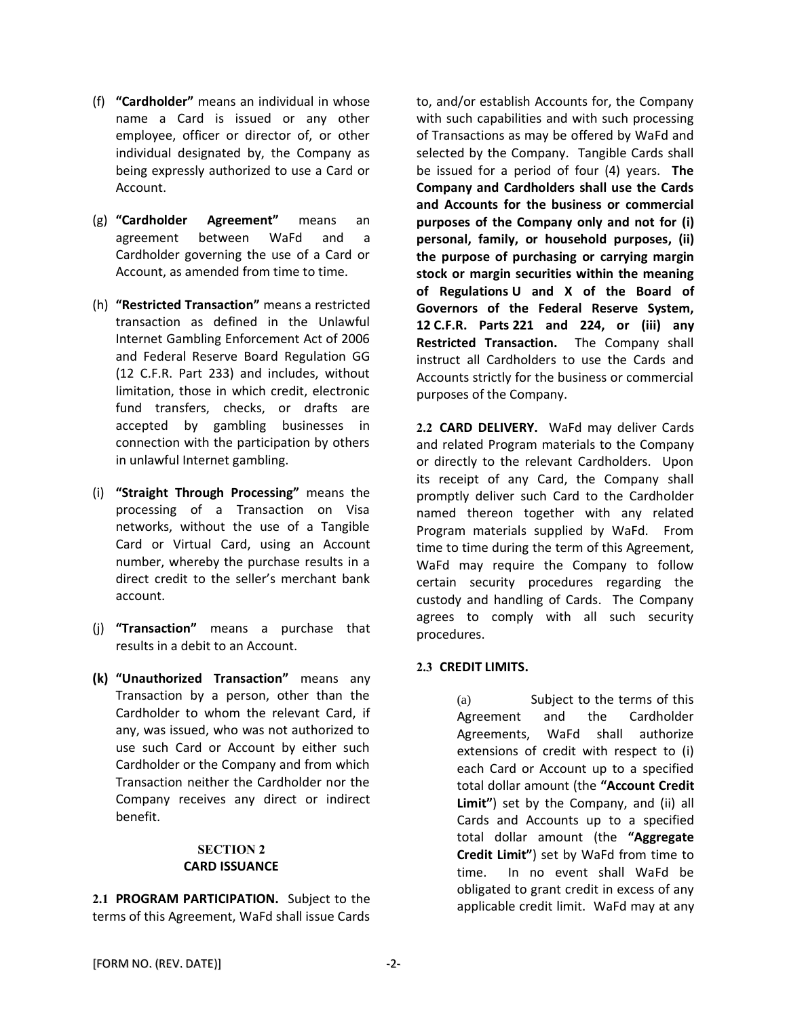- (f) **"Cardholder"** means an individual in whose name a Card is issued or any other employee, officer or director of, or other individual designated by, the Company as being expressly authorized to use a Card or Account.
- (g) **"Cardholder Agreement"** means an agreement between WaFd and a Cardholder governing the use of a Card or Account, as amended from time to time.
- (h) **"Restricted Transaction"** means a restricted transaction as defined in the Unlawful Internet Gambling Enforcement Act of 2006 and Federal Reserve Board Regulation GG (12 C.F.R. Part 233) and includes, without limitation, those in which credit, electronic fund transfers, checks, or drafts are accepted by gambling businesses in connection with the participation by others in unlawful Internet gambling.
- (i) **"Straight Through Processing"** means the processing of a Transaction on Visa networks, without the use of a Tangible Card or Virtual Card, using an Account number, whereby the purchase results in a direct credit to the seller's merchant bank account.
- (j) **"Transaction"** means a purchase that results in a debit to an Account.
- **(k) "Unauthorized Transaction"** means any Transaction by a person, other than the Cardholder to whom the relevant Card, if any, was issued, who was not authorized to use such Card or Account by either such Cardholder or the Company and from which Transaction neither the Cardholder nor the Company receives any direct or indirect benefit.

#### **SECTION 2 CARD ISSUANCE**

**2.1 PROGRAM PARTICIPATION.** Subject to the terms of this Agreement, WaFd shall issue Cards to, and/or establish Accounts for, the Company with such capabilities and with such processing of Transactions as may be offered by WaFd and selected by the Company. Tangible Cards shall be issued for a period of four (4) years. **The Company and Cardholders shall use the Cards and Accounts for the business or commercial purposes of the Company only and not for (i) personal, family, or household purposes, (ii) the purpose of purchasing or carrying margin stock or margin securities within the meaning of Regulations U and X of the Board of Governors of the Federal Reserve System, 12 C.F.R. Parts 221 and 224, or (iii) any Restricted Transaction.** The Company shall instruct all Cardholders to use the Cards and Accounts strictly for the business or commercial purposes of the Company.

**2.2 CARD DELIVERY.** WaFd may deliver Cards and related Program materials to the Company or directly to the relevant Cardholders. Upon its receipt of any Card, the Company shall promptly deliver such Card to the Cardholder named thereon together with any related Program materials supplied by WaFd. From time to time during the term of this Agreement, WaFd may require the Company to follow certain security procedures regarding the custody and handling of Cards. The Company agrees to comply with all such security procedures.

# **2.3 CREDIT LIMITS.**

(a) Subject to the terms of this Agreement and the Cardholder Agreements, WaFd shall authorize extensions of credit with respect to (i) each Card or Account up to a specified total dollar amount (the **"Account Credit Limit"**) set by the Company, and (ii) all Cards and Accounts up to a specified total dollar amount (the **"Aggregate Credit Limit"**) set by WaFd from time to time. In no event shall WaFd be obligated to grant credit in excess of any applicable credit limit. WaFd may at any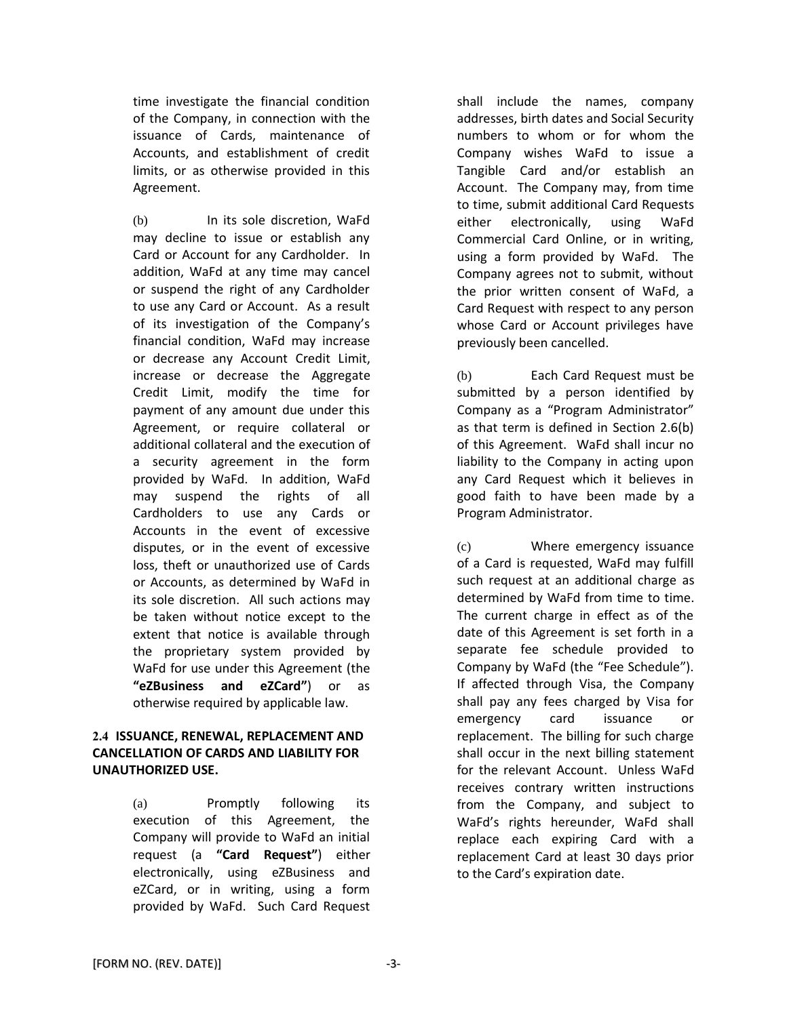time investigate the financial condition of the Company, in connection with the issuance of Cards, maintenance of Accounts, and establishment of credit limits, or as otherwise provided in this Agreement.

(b) In its sole discretion, WaFd may decline to issue or establish any Card or Account for any Cardholder. In addition, WaFd at any time may cancel or suspend the right of any Cardholder to use any Card or Account. As a result of its investigation of the Company's financial condition, WaFd may increase or decrease any Account Credit Limit, increase or decrease the Aggregate Credit Limit, modify the time for payment of any amount due under this Agreement, or require collateral or additional collateral and the execution of a security agreement in the form provided by WaFd. In addition, WaFd may suspend the rights of all Cardholders to use any Cards or Accounts in the event of excessive disputes, or in the event of excessive loss, theft or unauthorized use of Cards or Accounts, as determined by WaFd in its sole discretion. All such actions may be taken without notice except to the extent that notice is available through the proprietary system provided by WaFd for use under this Agreement (the **"eZBusiness and eZCard"**) or as otherwise required by applicable law.

## **2.4 ISSUANCE, RENEWAL, REPLACEMENT AND CANCELLATION OF CARDS AND LIABILITY FOR UNAUTHORIZED USE.**

(a) Promptly following its execution of this Agreement, the Company will provide to WaFd an initial request (a **"Card Request"**) either electronically, using eZBusiness and eZCard, or in writing, using a form provided by WaFd. Such Card Request shall include the names, company addresses, birth dates and Social Security numbers to whom or for whom the Company wishes WaFd to issue a Tangible Card and/or establish an Account. The Company may, from time to time, submit additional Card Requests either electronically, using WaFd Commercial Card Online, or in writing, using a form provided by WaFd. The Company agrees not to submit, without the prior written consent of WaFd, a Card Request with respect to any person whose Card or Account privileges have previously been cancelled.

(b) Each Card Request must be submitted by a person identified by Company as a "Program Administrator" as that term is defined in Section 2.6(b) of this Agreement. WaFd shall incur no liability to the Company in acting upon any Card Request which it believes in good faith to have been made by a Program Administrator.

(c) Where emergency issuance of a Card is requested, WaFd may fulfill such request at an additional charge as determined by WaFd from time to time. The current charge in effect as of the date of this Agreement is set forth in a separate fee schedule provided to Company by WaFd (the "Fee Schedule"). If affected through Visa, the Company shall pay any fees charged by Visa for emergency card issuance or replacement. The billing for such charge shall occur in the next billing statement for the relevant Account. Unless WaFd receives contrary written instructions from the Company, and subject to WaFd's rights hereunder, WaFd shall replace each expiring Card with a replacement Card at least 30 days prior to the Card's expiration date.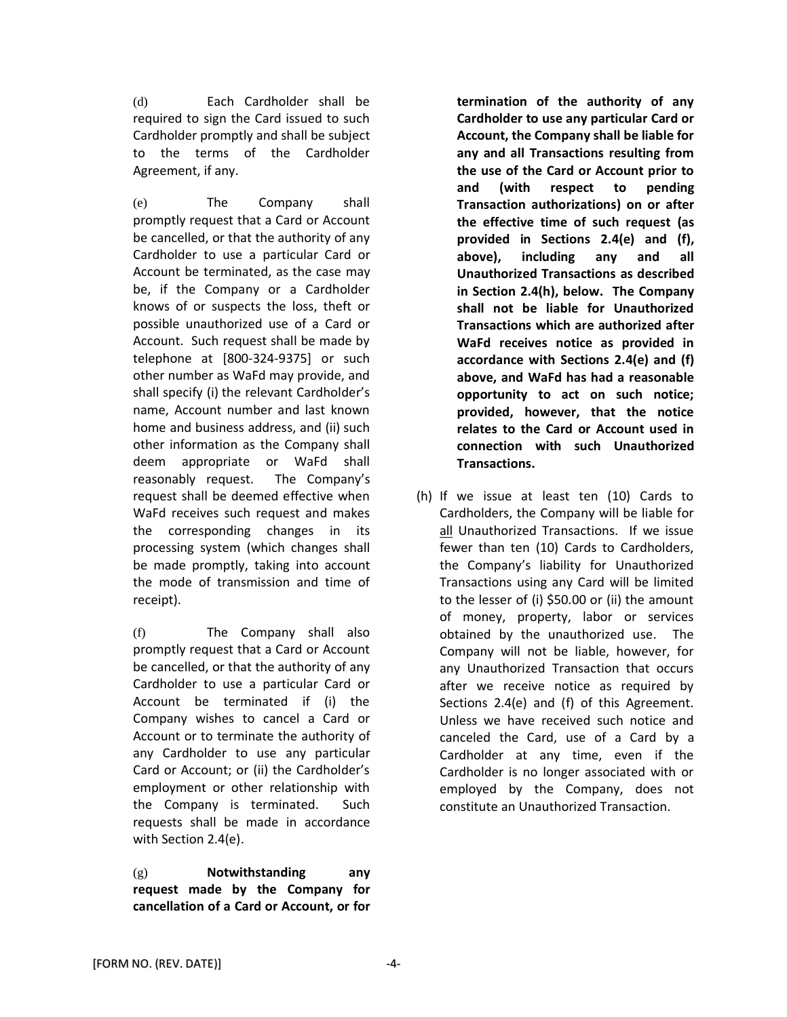(d) Each Cardholder shall be required to sign the Card issued to such Cardholder promptly and shall be subject to the terms of the Cardholder Agreement, if any.

(e) The Company shall promptly request that a Card or Account be cancelled, or that the authority of any Cardholder to use a particular Card or Account be terminated, as the case may be, if the Company or a Cardholder knows of or suspects the loss, theft or possible unauthorized use of a Card or Account. Such request shall be made by telephone at [800-324-9375] or such other number as WaFd may provide, and shall specify (i) the relevant Cardholder's name, Account number and last known home and business address, and (ii) such other information as the Company shall deem appropriate or WaFd shall reasonably request. The Company's request shall be deemed effective when WaFd receives such request and makes the corresponding changes in its processing system (which changes shall be made promptly, taking into account the mode of transmission and time of receipt).

(f) The Company shall also promptly request that a Card or Account be cancelled, or that the authority of any Cardholder to use a particular Card or Account be terminated if (i) the Company wishes to cancel a Card or Account or to terminate the authority of any Cardholder to use any particular Card or Account; or (ii) the Cardholder's employment or other relationship with the Company is terminated. Such requests shall be made in accordance with Section 2.4(e).

(g) **Notwithstanding any request made by the Company for cancellation of a Card or Account, or for**  **termination of the authority of any Cardholder to use any particular Card or Account, the Company shall be liable for any and all Transactions resulting from the use of the Card or Account prior to and (with respect to pending Transaction authorizations) on or after the effective time of such request (as provided in Sections 2.4(e) and (f), above), including any and all Unauthorized Transactions as described in Section 2.4(h), below. The Company shall not be liable for Unauthorized Transactions which are authorized after WaFd receives notice as provided in accordance with Sections 2.4(e) and (f) above, and WaFd has had a reasonable opportunity to act on such notice; provided, however, that the notice relates to the Card or Account used in connection with such Unauthorized Transactions.**

(h) If we issue at least ten (10) Cards to Cardholders, the Company will be liable for all Unauthorized Transactions. If we issue fewer than ten (10) Cards to Cardholders, the Company's liability for Unauthorized Transactions using any Card will be limited to the lesser of (i) \$50.00 or (ii) the amount of money, property, labor or services obtained by the unauthorized use. The Company will not be liable, however, for any Unauthorized Transaction that occurs after we receive notice as required by Sections 2.4(e) and (f) of this Agreement. Unless we have received such notice and canceled the Card, use of a Card by a Cardholder at any time, even if the Cardholder is no longer associated with or employed by the Company, does not constitute an Unauthorized Transaction.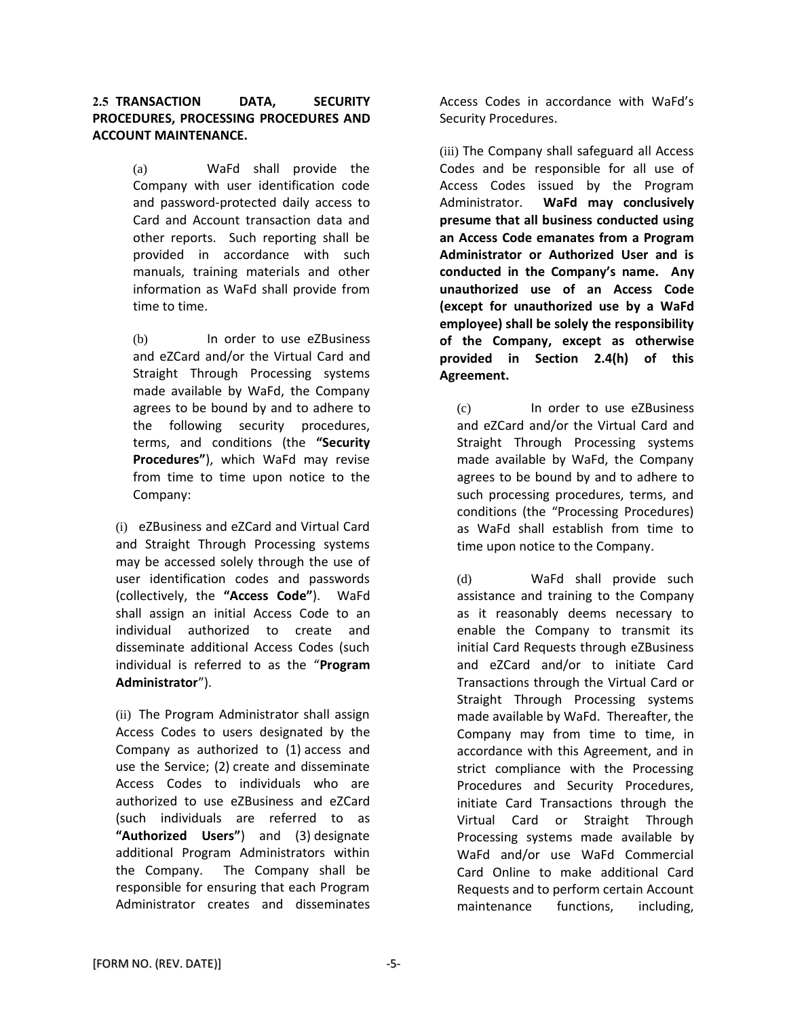## **2.5 TRANSACTION DATA, SECURITY PROCEDURES, PROCESSING PROCEDURES AND ACCOUNT MAINTENANCE.**

(a) WaFd shall provide the Company with user identification code and password-protected daily access to Card and Account transaction data and other reports. Such reporting shall be provided in accordance with such manuals, training materials and other information as WaFd shall provide from time to time.

(b) In order to use eZBusiness and eZCard and/or the Virtual Card and Straight Through Processing systems made available by WaFd, the Company agrees to be bound by and to adhere to the following security procedures, terms, and conditions (the **"Security Procedures"**), which WaFd may revise from time to time upon notice to the Company:

(i) eZBusiness and eZCard and Virtual Card and Straight Through Processing systems may be accessed solely through the use of user identification codes and passwords (collectively, the **"Access Code"**). WaFd shall assign an initial Access Code to an individual authorized to create and disseminate additional Access Codes (such individual is referred to as the "**Program Administrator**").

(ii) The Program Administrator shall assign Access Codes to users designated by the Company as authorized to (1) access and use the Service; (2) create and disseminate Access Codes to individuals who are authorized to use eZBusiness and eZCard (such individuals are referred to as **"Authorized Users"**) and (3) designate additional Program Administrators within the Company. The Company shall be responsible for ensuring that each Program Administrator creates and disseminates

Access Codes in accordance with WaFd's Security Procedures.

(iii) The Company shall safeguard all Access Codes and be responsible for all use of Access Codes issued by the Program Administrator. **WaFd may conclusively presume that all business conducted using an Access Code emanates from a Program Administrator or Authorized User and is conducted in the Company's name. Any unauthorized use of an Access Code (except for unauthorized use by a WaFd employee) shall be solely the responsibility of the Company, except as otherwise provided in Section 2.4(h) of this Agreement.**

(c) In order to use eZBusiness and eZCard and/or the Virtual Card and Straight Through Processing systems made available by WaFd, the Company agrees to be bound by and to adhere to such processing procedures, terms, and conditions (the "Processing Procedures) as WaFd shall establish from time to time upon notice to the Company.

(d) WaFd shall provide such assistance and training to the Company as it reasonably deems necessary to enable the Company to transmit its initial Card Requests through eZBusiness and eZCard and/or to initiate Card Transactions through the Virtual Card or Straight Through Processing systems made available by WaFd. Thereafter, the Company may from time to time, in accordance with this Agreement, and in strict compliance with the Processing Procedures and Security Procedures, initiate Card Transactions through the Virtual Card or Straight Through Processing systems made available by WaFd and/or use WaFd Commercial Card Online to make additional Card Requests and to perform certain Account maintenance functions, including,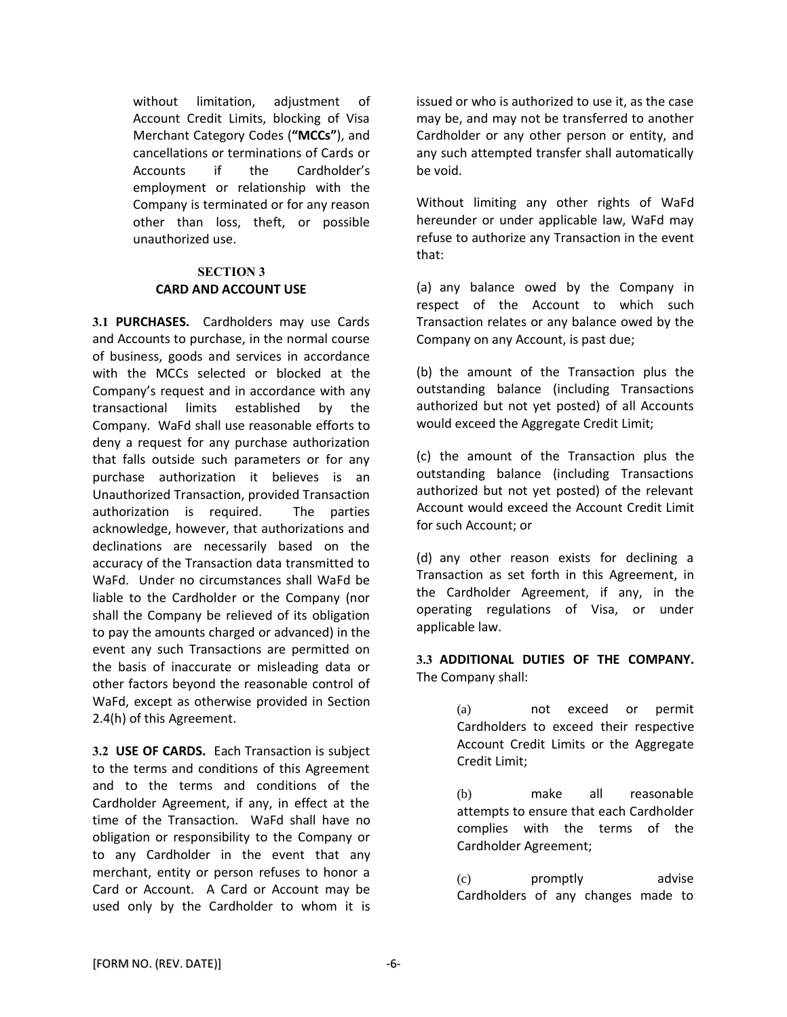without limitation, adjustment of Account Credit Limits, blocking of Visa Merchant Category Codes (**"MCCs"**), and cancellations or terminations of Cards or Accounts if the Cardholder's employment or relationship with the Company is terminated or for any reason other than loss, theft, or possible unauthorized use.

## **SECTION 3 CARD AND ACCOUNT USE**

**3.1 PURCHASES.** Cardholders may use Cards and Accounts to purchase, in the normal course of business, goods and services in accordance with the MCCs selected or blocked at the Company's request and in accordance with any transactional limits established by the Company. WaFd shall use reasonable efforts to deny a request for any purchase authorization that falls outside such parameters or for any purchase authorization it believes is an Unauthorized Transaction, provided Transaction authorization is required. The parties acknowledge, however, that authorizations and declinations are necessarily based on the accuracy of the Transaction data transmitted to WaFd. Under no circumstances shall WaFd be liable to the Cardholder or the Company (nor shall the Company be relieved of its obligation to pay the amounts charged or advanced) in the event any such Transactions are permitted on the basis of inaccurate or misleading data or other factors beyond the reasonable control of WaFd, except as otherwise provided in Section 2.4(h) of this Agreement.

**3.2 USE OF CARDS.** Each Transaction is subject to the terms and conditions of this Agreement and to the terms and conditions of the Cardholder Agreement, if any, in effect at the time of the Transaction. WaFd shall have no obligation or responsibility to the Company or to any Cardholder in the event that any merchant, entity or person refuses to honor a Card or Account. A Card or Account may be used only by the Cardholder to whom it is

issued or who is authorized to use it, as the case may be, and may not be transferred to another Cardholder or any other person or entity, and any such attempted transfer shall automatically be void.

Without limiting any other rights of WaFd hereunder or under applicable law, WaFd may refuse to authorize any Transaction in the event that:

(a) any balance owed by the Company in respect of the Account to which such Transaction relates or any balance owed by the Company on any Account, is past due;

(b) the amount of the Transaction plus the outstanding balance (including Transactions authorized but not yet posted) of all Accounts would exceed the Aggregate Credit Limit;

(c) the amount of the Transaction plus the outstanding balance (including Transactions authorized but not yet posted) of the relevant Account would exceed the Account Credit Limit for such Account; or

(d) any other reason exists for declining a Transaction as set forth in this Agreement, in the Cardholder Agreement, if any, in the operating regulations of Visa, or under applicable law.

**3.3 ADDITIONAL DUTIES OF THE COMPANY.** The Company shall:

> (a) not exceed or permit Cardholders to exceed their respective Account Credit Limits or the Aggregate Credit Limit;

> (b) make all reasonable attempts to ensure that each Cardholder complies with the terms of the Cardholder Agreement;

> (c) promptly advise Cardholders of any changes made to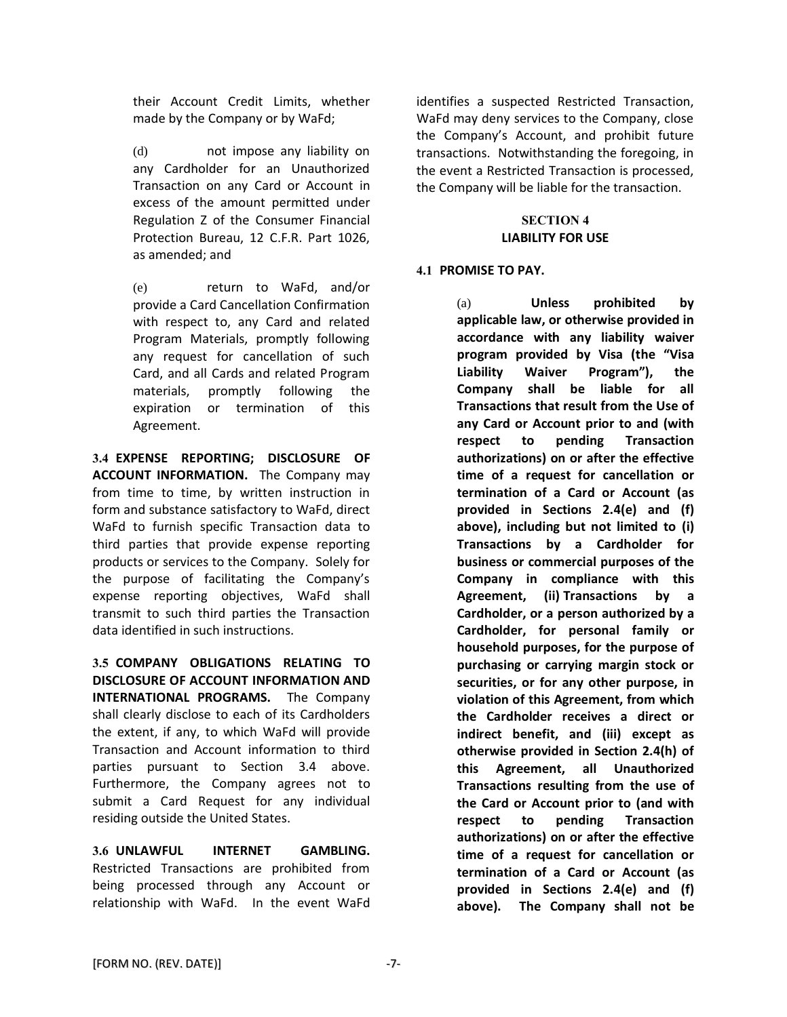their Account Credit Limits, whether made by the Company or by WaFd;

(d) not impose any liability on any Cardholder for an Unauthorized Transaction on any Card or Account in excess of the amount permitted under Regulation Z of the Consumer Financial Protection Bureau, 12 C.F.R. Part 1026, as amended; and

(e) return to WaFd, and/or provide a Card Cancellation Confirmation with respect to, any Card and related Program Materials, promptly following any request for cancellation of such Card, and all Cards and related Program materials, promptly following the expiration or termination of this Agreement.

**3.4 EXPENSE REPORTING; DISCLOSURE OF ACCOUNT INFORMATION.** The Company may from time to time, by written instruction in form and substance satisfactory to WaFd, direct WaFd to furnish specific Transaction data to third parties that provide expense reporting products or services to the Company. Solely for the purpose of facilitating the Company's expense reporting objectives, WaFd shall transmit to such third parties the Transaction data identified in such instructions.

**3.5 COMPANY OBLIGATIONS RELATING TO DISCLOSURE OF ACCOUNT INFORMATION AND INTERNATIONAL PROGRAMS.** The Company shall clearly disclose to each of its Cardholders the extent, if any, to which WaFd will provide Transaction and Account information to third parties pursuant to Section 3.4 above. Furthermore, the Company agrees not to submit a Card Request for any individual residing outside the United States.

**3.6 UNLAWFUL INTERNET GAMBLING.**  Restricted Transactions are prohibited from being processed through any Account or relationship with WaFd. In the event WaFd identifies a suspected Restricted Transaction, WaFd may deny services to the Company, close the Company's Account, and prohibit future transactions. Notwithstanding the foregoing, in the event a Restricted Transaction is processed, the Company will be liable for the transaction.

### **SECTION 4 LIABILITY FOR USE**

# **4.1 PROMISE TO PAY.**

(a) **Unless prohibited by applicable law, or otherwise provided in accordance with any liability waiver program provided by Visa (the "Visa Liability Waiver Program"), the Company shall be liable for all Transactions that result from the Use of any Card or Account prior to and (with respect to pending Transaction authorizations) on or after the effective time of a request for cancellation or termination of a Card or Account (as provided in Sections 2.4(e) and (f) above), including but not limited to (i) Transactions by a Cardholder for business or commercial purposes of the Company in compliance with this Agreement, (ii) Transactions by a Cardholder, or a person authorized by a Cardholder, for personal family or household purposes, for the purpose of purchasing or carrying margin stock or securities, or for any other purpose, in violation of this Agreement, from which the Cardholder receives a direct or indirect benefit, and (iii) except as otherwise provided in Section 2.4(h) of this Agreement, all Unauthorized Transactions resulting from the use of the Card or Account prior to (and with respect to pending Transaction authorizations) on or after the effective time of a request for cancellation or termination of a Card or Account (as provided in Sections 2.4(e) and (f) above). The Company shall not be**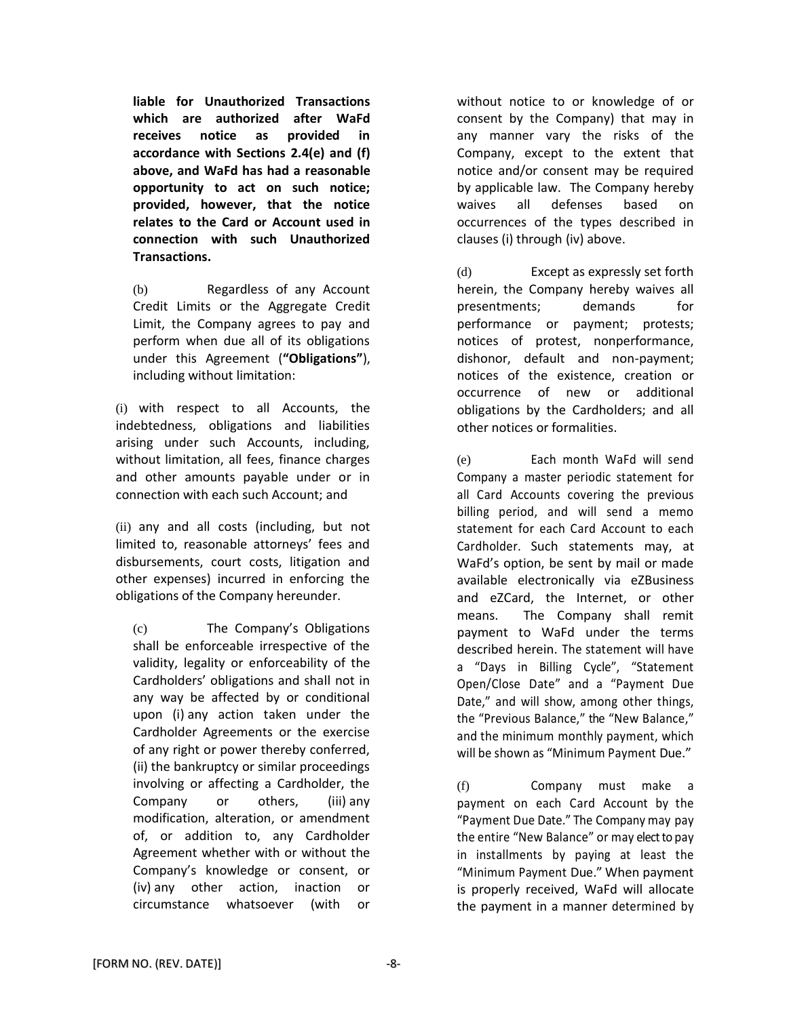**liable for Unauthorized Transactions which are authorized after WaFd receives notice as provided in accordance with Sections 2.4(e) and (f) above, and WaFd has had a reasonable opportunity to act on such notice; provided, however, that the notice relates to the Card or Account used in connection with such Unauthorized Transactions.**

(b) Regardless of any Account Credit Limits or the Aggregate Credit Limit, the Company agrees to pay and perform when due all of its obligations under this Agreement (**"Obligations"**), including without limitation:

(i) with respect to all Accounts, the indebtedness, obligations and liabilities arising under such Accounts, including, without limitation, all fees, finance charges and other amounts payable under or in connection with each such Account; and

(ii) any and all costs (including, but not limited to, reasonable attorneys' fees and disbursements, court costs, litigation and other expenses) incurred in enforcing the obligations of the Company hereunder.

(c) The Company's Obligations shall be enforceable irrespective of the validity, legality or enforceability of the Cardholders' obligations and shall not in any way be affected by or conditional upon (i) any action taken under the Cardholder Agreements or the exercise of any right or power thereby conferred, (ii) the bankruptcy or similar proceedings involving or affecting a Cardholder, the Company or others, (iii) any modification, alteration, or amendment of, or addition to, any Cardholder Agreement whether with or without the Company's knowledge or consent, or (iv) any other action, inaction or circumstance whatsoever (with or

without notice to or knowledge of or consent by the Company) that may in any manner vary the risks of the Company, except to the extent that notice and/or consent may be required by applicable law. The Company hereby waives all defenses based on occurrences of the types described in clauses (i) through (iv) above.

(d) Except as expressly set forth herein, the Company hereby waives all presentments; demands for performance or payment; protests; notices of protest, nonperformance, dishonor, default and non-payment; notices of the existence, creation or occurrence of new or additional obligations by the Cardholders; and all other notices or formalities.

(e) Each month WaFd will send Company a master periodic statement for all Card Accounts covering the previous billing period, and will send a memo statement for each Card Account to each Cardholder. Such statements may, at WaFd's option, be sent by mail or made available electronically via eZBusiness and eZCard, the Internet, or other means. The Company shall remit payment to WaFd under the terms described herein. The statement will have a "Days in Billing Cycle", "Statement Open/Close Date" and a "Payment Due Date," and will show, among other things, the "Previous Balance," the "New Balance," and the minimum monthly payment, which will be shown as "Minimum Payment Due."

(f) Company must make a payment on each Card Account by the "Payment Due Date." The Company may pay the entire "New Balance" or may elect to pay in installments by paying at least the "Minimum Payment Due." When payment is properly received, WaFd will allocate the payment in a manner determined by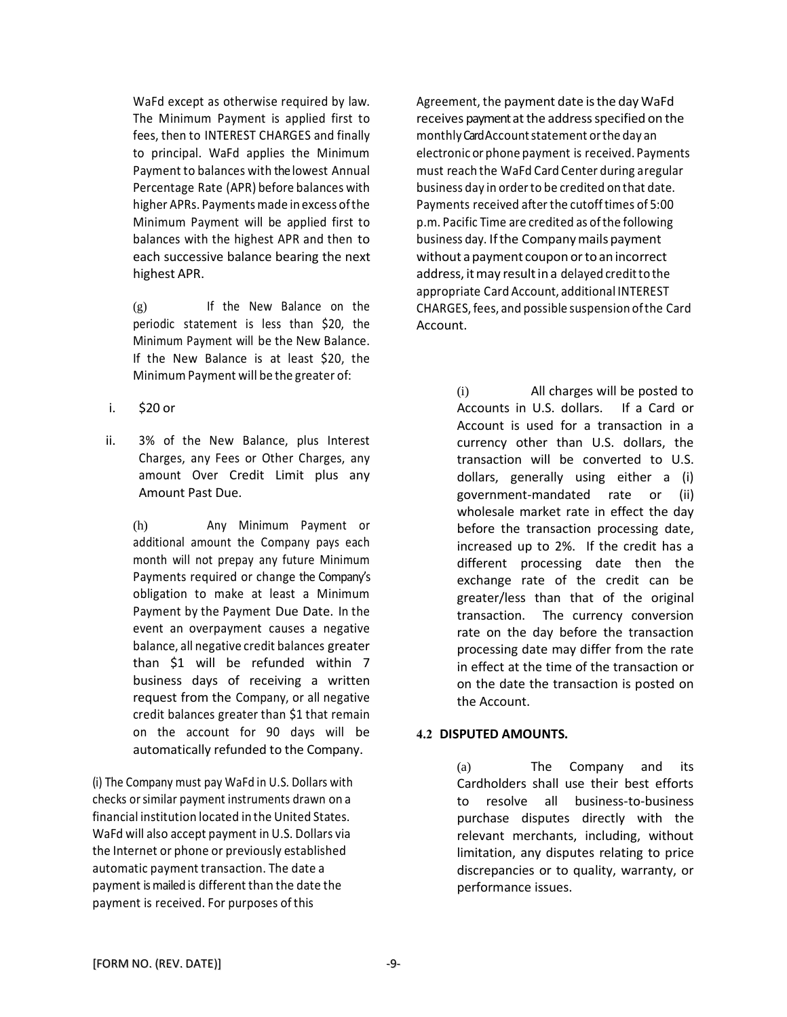WaFd except as otherwise required by law. The Minimum Payment is applied first to fees, then to INTEREST CHARGES and finally to principal. WaFd applies the Minimum Payment to balances with thelowest Annual Percentage Rate (APR) before balances with higher APRs. Payments made in excess ofthe Minimum Payment will be applied first to balances with the highest APR and then to each successive balance bearing the next highest APR.

(g) If the New Balance on the periodic statement is less than \$20, the Minimum Payment will be the New Balance. If the New Balance is at least \$20, the Minimum Payment will be the greater of:

i. \$20 or

ii. 3% of the New Balance, plus Interest Charges, any Fees or Other Charges, any amount Over Credit Limit plus any Amount Past Due.

(h) Any Minimum Payment or additional amount the Company pays each month will not prepay any future Minimum Payments required or change the Company's obligation to make at least a Minimum Payment by the Payment Due Date. In the event an overpayment causes a negative balance, all negative credit balances greater than \$1 will be refunded within 7 business days of receiving a written request from the Company, or all negative credit balances greater than \$1 that remain on the account for 90 days will be automatically refunded to the Company.

(i) The Company must pay WaFd in U.S. Dollars with checks orsimilar payment instruments drawn on a financial institution located in the United States. WaFd will also accept payment in U.S. Dollars via the Internet or phone or previously established automatic payment transaction. The date a payment is mailed is different than the date the payment is received. For purposes of this

Agreement, the payment date isthe day WaFd receives payment at the address specified on the monthlyCard Accountstatement orthe day an electronic or phone payment is received. Payments must reach the WaFd Card Center during a regular business day in orderto be credited on that date. Payments received after the cutoff times of 5:00 p.m. Pacific Time are credited as ofthe following business day. Ifthe Companymails payment without a payment coupon or to an incorrect address, it may result in a delayed credit to the appropriate Card Account, additional INTEREST CHARGES, fees, and possible suspension ofthe Card Account.

> (i) All charges will be posted to Accounts in U.S. dollars. If a Card or Account is used for a transaction in a currency other than U.S. dollars, the transaction will be converted to U.S. dollars, generally using either a (i) government-mandated rate or (ii) wholesale market rate in effect the day before the transaction processing date, increased up to 2%. If the credit has a different processing date then the exchange rate of the credit can be greater/less than that of the original transaction. The currency conversion rate on the day before the transaction processing date may differ from the rate in effect at the time of the transaction or on the date the transaction is posted on the Account.

### **4.2 DISPUTED AMOUNTS.**

(a) The Company and its Cardholders shall use their best efforts to resolve all business-to-business purchase disputes directly with the relevant merchants, including, without limitation, any disputes relating to price discrepancies or to quality, warranty, or performance issues.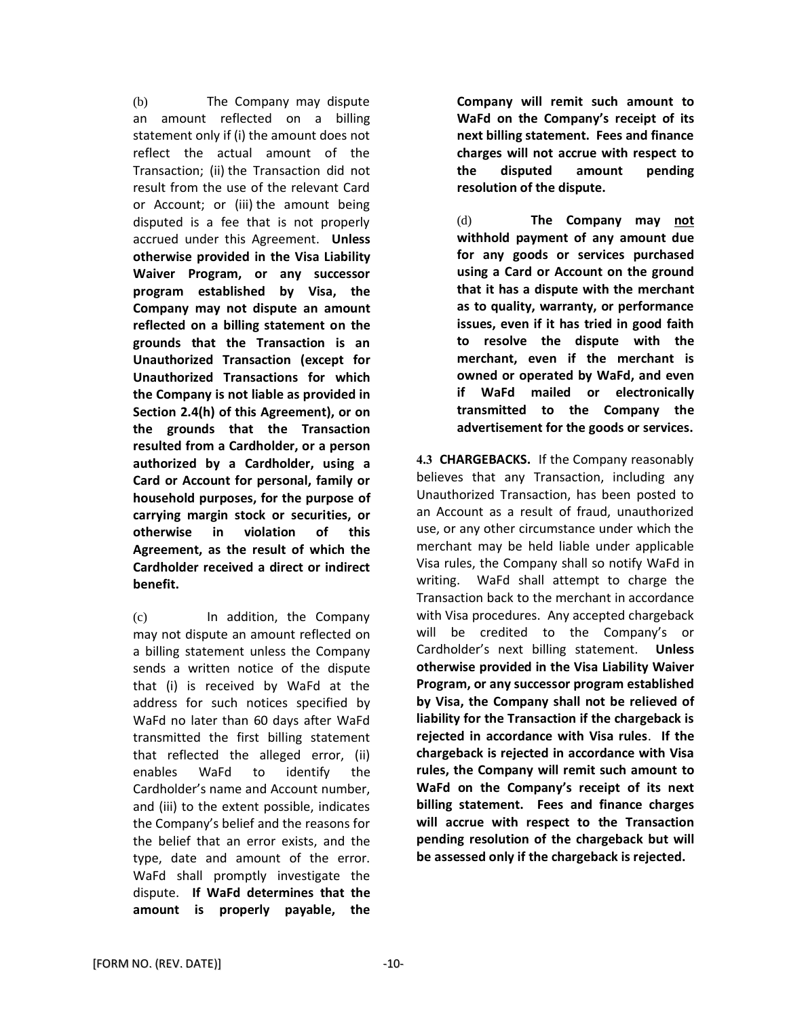(b) The Company may dispute an amount reflected on a billing statement only if (i) the amount does not reflect the actual amount of the Transaction; (ii) the Transaction did not result from the use of the relevant Card or Account; or (iii) the amount being disputed is a fee that is not properly accrued under this Agreement. **Unless otherwise provided in the Visa Liability Waiver Program, or any successor program established by Visa, the Company may not dispute an amount reflected on a billing statement on the grounds that the Transaction is an Unauthorized Transaction (except for Unauthorized Transactions for which the Company is not liable as provided in Section 2.4(h) of this Agreement), or on the grounds that the Transaction resulted from a Cardholder, or a person authorized by a Cardholder, using a Card or Account for personal, family or household purposes, for the purpose of carrying margin stock or securities, or otherwise in violation of this Agreement, as the result of which the Cardholder received a direct or indirect benefit.**

(c) In addition, the Company may not dispute an amount reflected on a billing statement unless the Company sends a written notice of the dispute that (i) is received by WaFd at the address for such notices specified by WaFd no later than 60 days after WaFd transmitted the first billing statement that reflected the alleged error, (ii) enables WaFd to identify the Cardholder's name and Account number, and (iii) to the extent possible, indicates the Company's belief and the reasons for the belief that an error exists, and the type, date and amount of the error. WaFd shall promptly investigate the dispute. **If WaFd determines that the amount is properly payable, the** 

**Company will remit such amount to WaFd on the Company's receipt of its next billing statement. Fees and finance charges will not accrue with respect to the disputed amount pending resolution of the dispute.**

(d) **The Company may not withhold payment of any amount due for any goods or services purchased using a Card or Account on the ground that it has a dispute with the merchant as to quality, warranty, or performance issues, even if it has tried in good faith to resolve the dispute with the merchant, even if the merchant is owned or operated by WaFd, and even if WaFd mailed or electronically transmitted to the Company the advertisement for the goods or services.**

**4.3 CHARGEBACKS.** If the Company reasonably believes that any Transaction, including any Unauthorized Transaction, has been posted to an Account as a result of fraud, unauthorized use, or any other circumstance under which the merchant may be held liable under applicable Visa rules, the Company shall so notify WaFd in writing. WaFd shall attempt to charge the Transaction back to the merchant in accordance with Visa procedures. Any accepted chargeback will be credited to the Company's or Cardholder's next billing statement. **Unless otherwise provided in the Visa Liability Waiver Program, or any successor program established by Visa, the Company shall not be relieved of liability for the Transaction if the chargeback is rejected in accordance with Visa rules**. **If the chargeback is rejected in accordance with Visa rules, the Company will remit such amount to WaFd on the Company's receipt of its next billing statement. Fees and finance charges will accrue with respect to the Transaction pending resolution of the chargeback but will be assessed only if the chargeback is rejected.**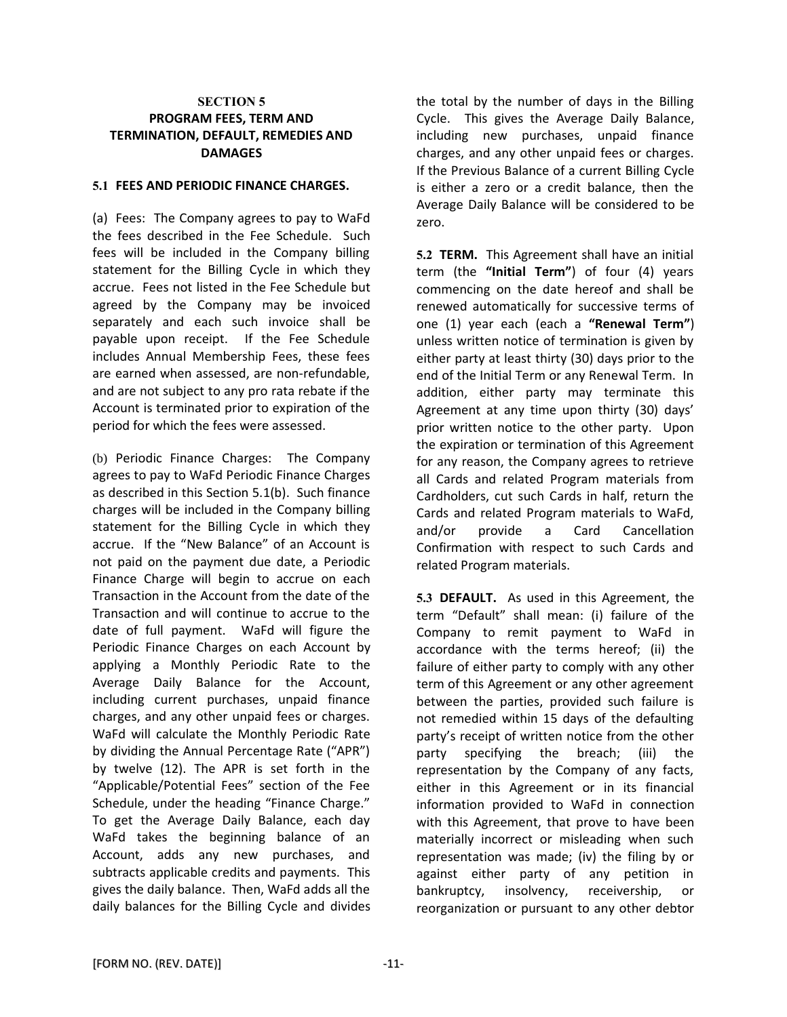### **SECTION 5 PROGRAM FEES, TERM AND TERMINATION, DEFAULT, REMEDIES AND DAMAGES**

### **5.1 FEES AND PERIODIC FINANCE CHARGES.**

(a) Fees: The Company agrees to pay to WaFd the fees described in the Fee Schedule. Such fees will be included in the Company billing statement for the Billing Cycle in which they accrue. Fees not listed in the Fee Schedule but agreed by the Company may be invoiced separately and each such invoice shall be payable upon receipt. If the Fee Schedule includes Annual Membership Fees, these fees are earned when assessed, are non-refundable, and are not subject to any pro rata rebate if the Account is terminated prior to expiration of the period for which the fees were assessed.

(b) Periodic Finance Charges: The Company agrees to pay to WaFd Periodic Finance Charges as described in this Section 5.1(b). Such finance charges will be included in the Company billing statement for the Billing Cycle in which they accrue. If the "New Balance" of an Account is not paid on the payment due date, a Periodic Finance Charge will begin to accrue on each Transaction in the Account from the date of the Transaction and will continue to accrue to the date of full payment. WaFd will figure the Periodic Finance Charges on each Account by applying a Monthly Periodic Rate to the Average Daily Balance for the Account, including current purchases, unpaid finance charges, and any other unpaid fees or charges. WaFd will calculate the Monthly Periodic Rate by dividing the Annual Percentage Rate ("APR") by twelve (12). The APR is set forth in the "Applicable/Potential Fees" section of the Fee Schedule, under the heading "Finance Charge." To get the Average Daily Balance, each day WaFd takes the beginning balance of an Account, adds any new purchases, and subtracts applicable credits and payments. This gives the daily balance. Then, WaFd adds all the daily balances for the Billing Cycle and divides

the total by the number of days in the Billing Cycle. This gives the Average Daily Balance, including new purchases, unpaid finance charges, and any other unpaid fees or charges. If the Previous Balance of a current Billing Cycle is either a zero or a credit balance, then the Average Daily Balance will be considered to be zero.

**5.2 TERM.** This Agreement shall have an initial term (the **"Initial Term"**) of four (4) years commencing on the date hereof and shall be renewed automatically for successive terms of one (1) year each (each a **"Renewal Term"**) unless written notice of termination is given by either party at least thirty (30) days prior to the end of the Initial Term or any Renewal Term. In addition, either party may terminate this Agreement at any time upon thirty (30) days' prior written notice to the other party. Upon the expiration or termination of this Agreement for any reason, the Company agrees to retrieve all Cards and related Program materials from Cardholders, cut such Cards in half, return the Cards and related Program materials to WaFd, and/or provide a Card Cancellation Confirmation with respect to such Cards and related Program materials.

**5.3 DEFAULT.** As used in this Agreement, the term "Default" shall mean: (i) failure of the Company to remit payment to WaFd in accordance with the terms hereof; (ii) the failure of either party to comply with any other term of this Agreement or any other agreement between the parties, provided such failure is not remedied within 15 days of the defaulting party's receipt of written notice from the other party specifying the breach; (iii) the representation by the Company of any facts, either in this Agreement or in its financial information provided to WaFd in connection with this Agreement, that prove to have been materially incorrect or misleading when such representation was made; (iv) the filing by or against either party of any petition in bankruptcy, insolvency, receivership, or reorganization or pursuant to any other debtor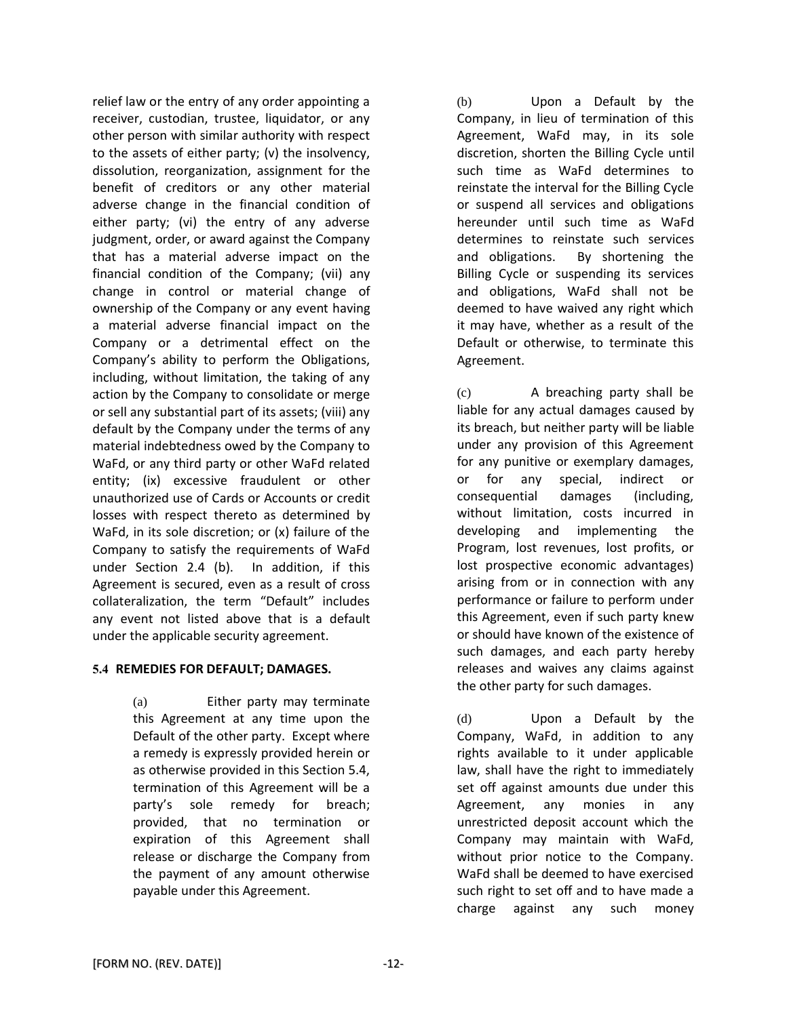relief law or the entry of any order appointing a receiver, custodian, trustee, liquidator, or any other person with similar authority with respect to the assets of either party; (v) the insolvency, dissolution, reorganization, assignment for the benefit of creditors or any other material adverse change in the financial condition of either party; (vi) the entry of any adverse judgment, order, or award against the Company that has a material adverse impact on the financial condition of the Company; (vii) any change in control or material change of ownership of the Company or any event having a material adverse financial impact on the Company or a detrimental effect on the Company's ability to perform the Obligations, including, without limitation, the taking of any action by the Company to consolidate or merge or sell any substantial part of its assets; (viii) any default by the Company under the terms of any material indebtedness owed by the Company to WaFd, or any third party or other WaFd related entity; (ix) excessive fraudulent or other unauthorized use of Cards or Accounts or credit losses with respect thereto as determined by WaFd, in its sole discretion; or (x) failure of the Company to satisfy the requirements of WaFd under Section 2.4 (b). In addition, if this Agreement is secured, even as a result of cross collateralization, the term "Default" includes any event not listed above that is a default under the applicable security agreement.

### **5.4 REMEDIES FOR DEFAULT; DAMAGES.**

(a) Either party may terminate this Agreement at any time upon the Default of the other party. Except where a remedy is expressly provided herein or as otherwise provided in this Section 5.4, termination of this Agreement will be a party's sole remedy for breach; provided, that no termination or expiration of this Agreement shall release or discharge the Company from the payment of any amount otherwise payable under this Agreement.

(b) Upon a Default by the Company, in lieu of termination of this Agreement, WaFd may, in its sole discretion, shorten the Billing Cycle until such time as WaFd determines to reinstate the interval for the Billing Cycle or suspend all services and obligations hereunder until such time as WaFd determines to reinstate such services and obligations.By shortening the Billing Cycle or suspending its services and obligations, WaFd shall not be deemed to have waived any right which it may have, whether as a result of the Default or otherwise, to terminate this Agreement.

(c) A breaching party shall be liable for any actual damages caused by its breach, but neither party will be liable under any provision of this Agreement for any punitive or exemplary damages, or for any special, indirect or consequential damages (including, without limitation, costs incurred in developing and implementing the Program, lost revenues, lost profits, or lost prospective economic advantages) arising from or in connection with any performance or failure to perform under this Agreement, even if such party knew or should have known of the existence of such damages, and each party hereby releases and waives any claims against the other party for such damages.

(d) Upon a Default by the Company, WaFd, in addition to any rights available to it under applicable law, shall have the right to immediately set off against amounts due under this Agreement, any monies in any unrestricted deposit account which the Company may maintain with WaFd, without prior notice to the Company. WaFd shall be deemed to have exercised such right to set off and to have made a charge against any such money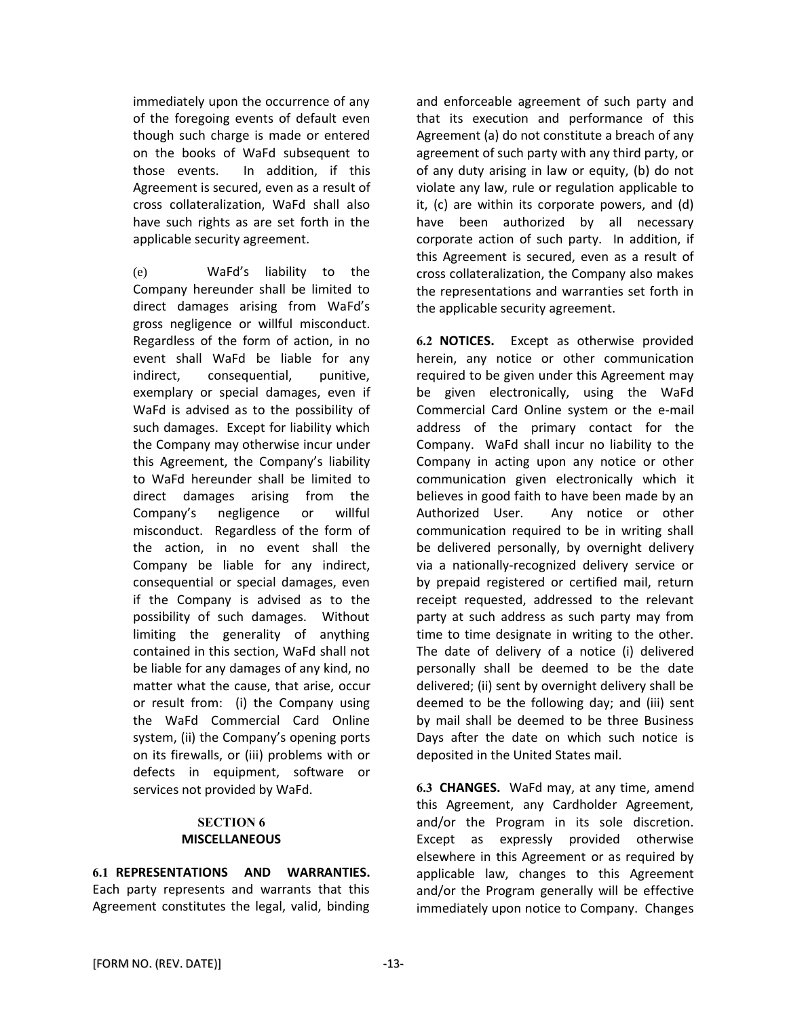immediately upon the occurrence of any of the foregoing events of default even though such charge is made or entered on the books of WaFd subsequent to those events. In addition, if this Agreement is secured, even as a result of cross collateralization, WaFd shall also have such rights as are set forth in the applicable security agreement.

(e) WaFd's liability to the Company hereunder shall be limited to direct damages arising from WaFd's gross negligence or willful misconduct. Regardless of the form of action, in no event shall WaFd be liable for any indirect, consequential, punitive, exemplary or special damages, even if WaFd is advised as to the possibility of such damages. Except for liability which the Company may otherwise incur under this Agreement, the Company's liability to WaFd hereunder shall be limited to direct damages arising from the Company's negligence or willful misconduct. Regardless of the form of the action, in no event shall the Company be liable for any indirect, consequential or special damages, even if the Company is advised as to the possibility of such damages. Without limiting the generality of anything contained in this section, WaFd shall not be liable for any damages of any kind, no matter what the cause, that arise, occur or result from: (i) the Company using the WaFd Commercial Card Online system, (ii) the Company's opening ports on its firewalls, or (iii) problems with or defects in equipment, software or services not provided by WaFd.

### **SECTION 6 MISCELLANEOUS**

**6.1 REPRESENTATIONS AND WARRANTIES.** Each party represents and warrants that this Agreement constitutes the legal, valid, binding and enforceable agreement of such party and that its execution and performance of this Agreement (a) do not constitute a breach of any agreement of such party with any third party, or of any duty arising in law or equity, (b) do not violate any law, rule or regulation applicable to it, (c) are within its corporate powers, and (d) have been authorized by all necessary corporate action of such party. In addition, if this Agreement is secured, even as a result of cross collateralization, the Company also makes the representations and warranties set forth in the applicable security agreement.

**6.2 NOTICES.** Except as otherwise provided herein, any notice or other communication required to be given under this Agreement may be given electronically, using the WaFd Commercial Card Online system or the e-mail address of the primary contact for the Company. WaFd shall incur no liability to the Company in acting upon any notice or other communication given electronically which it believes in good faith to have been made by an Authorized User. Any notice or other communication required to be in writing shall be delivered personally, by overnight delivery via a nationally-recognized delivery service or by prepaid registered or certified mail, return receipt requested, addressed to the relevant party at such address as such party may from time to time designate in writing to the other. The date of delivery of a notice (i) delivered personally shall be deemed to be the date delivered; (ii) sent by overnight delivery shall be deemed to be the following day; and (iii) sent by mail shall be deemed to be three Business Days after the date on which such notice is deposited in the United States mail.

**6.3 CHANGES.** WaFd may, at any time, amend this Agreement, any Cardholder Agreement, and/or the Program in its sole discretion. Except as expressly provided otherwise elsewhere in this Agreement or as required by applicable law, changes to this Agreement and/or the Program generally will be effective immediately upon notice to Company. Changes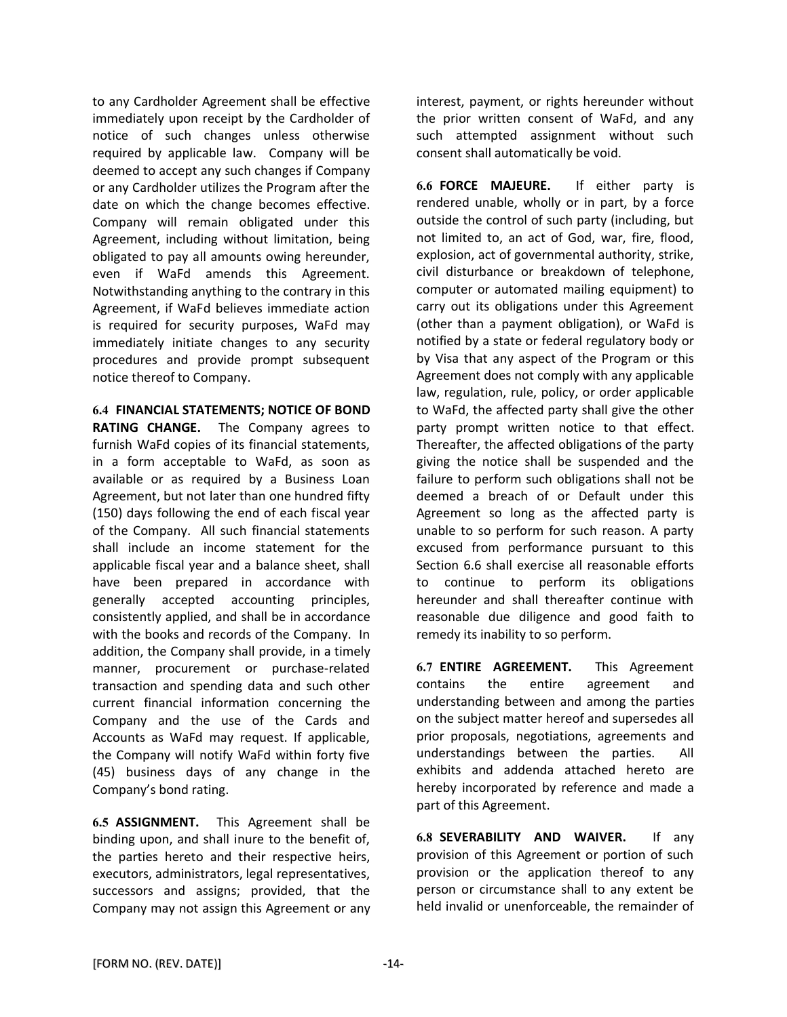to any Cardholder Agreement shall be effective immediately upon receipt by the Cardholder of notice of such changes unless otherwise required by applicable law. Company will be deemed to accept any such changes if Company or any Cardholder utilizes the Program after the date on which the change becomes effective. Company will remain obligated under this Agreement, including without limitation, being obligated to pay all amounts owing hereunder, even if WaFd amends this Agreement. Notwithstanding anything to the contrary in this Agreement, if WaFd believes immediate action is required for security purposes, WaFd may immediately initiate changes to any security procedures and provide prompt subsequent notice thereof to Company.

**6.4 FINANCIAL STATEMENTS; NOTICE OF BOND RATING CHANGE.** The Company agrees to furnish WaFd copies of its financial statements, in a form acceptable to WaFd, as soon as available or as required by a Business Loan Agreement, but not later than one hundred fifty (150) days following the end of each fiscal year of the Company. All such financial statements shall include an income statement for the applicable fiscal year and a balance sheet, shall have been prepared in accordance with generally accepted accounting principles, consistently applied, and shall be in accordance with the books and records of the Company. In addition, the Company shall provide, in a timely manner, procurement or purchase-related transaction and spending data and such other current financial information concerning the Company and the use of the Cards and Accounts as WaFd may request. If applicable, the Company will notify WaFd within forty five (45) business days of any change in the Company's bond rating.

**6.5 ASSIGNMENT.** This Agreement shall be binding upon, and shall inure to the benefit of, the parties hereto and their respective heirs, executors, administrators, legal representatives, successors and assigns; provided, that the Company may not assign this Agreement or any

interest, payment, or rights hereunder without the prior written consent of WaFd, and any such attempted assignment without such consent shall automatically be void.

**6.6 FORCE MAJEURE.** If either party is rendered unable, wholly or in part, by a force outside the control of such party (including, but not limited to, an act of God, war, fire, flood, explosion, act of governmental authority, strike, civil disturbance or breakdown of telephone, computer or automated mailing equipment) to carry out its obligations under this Agreement (other than a payment obligation), or WaFd is notified by a state or federal regulatory body or by Visa that any aspect of the Program or this Agreement does not comply with any applicable law, regulation, rule, policy, or order applicable to WaFd, the affected party shall give the other party prompt written notice to that effect. Thereafter, the affected obligations of the party giving the notice shall be suspended and the failure to perform such obligations shall not be deemed a breach of or Default under this Agreement so long as the affected party is unable to so perform for such reason. A party excused from performance pursuant to this Section 6.6 shall exercise all reasonable efforts to continue to perform its obligations hereunder and shall thereafter continue with reasonable due diligence and good faith to remedy its inability to so perform.

**6.7 ENTIRE AGREEMENT.** This Agreement contains the entire agreement and understanding between and among the parties on the subject matter hereof and supersedes all prior proposals, negotiations, agreements and understandings between the parties. All exhibits and addenda attached hereto are hereby incorporated by reference and made a part of this Agreement.

**6.8 SEVERABILITY AND WAIVER.** If any provision of this Agreement or portion of such provision or the application thereof to any person or circumstance shall to any extent be held invalid or unenforceable, the remainder of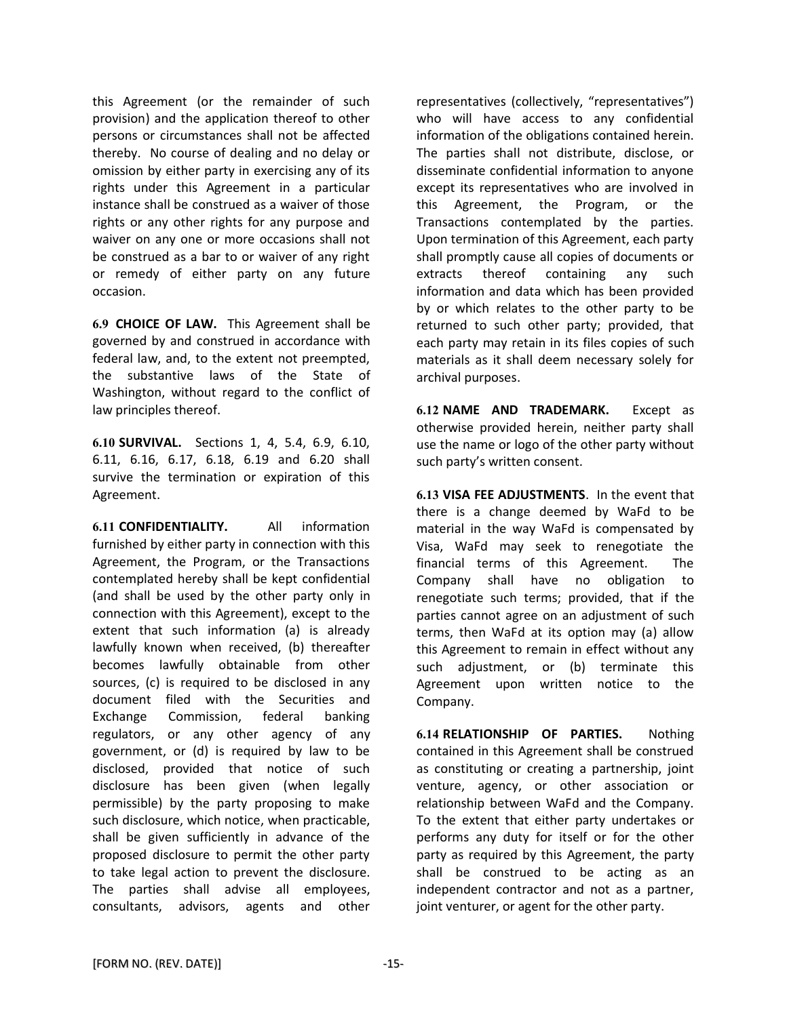this Agreement (or the remainder of such provision) and the application thereof to other persons or circumstances shall not be affected thereby. No course of dealing and no delay or omission by either party in exercising any of its rights under this Agreement in a particular instance shall be construed as a waiver of those rights or any other rights for any purpose and waiver on any one or more occasions shall not be construed as a bar to or waiver of any right or remedy of either party on any future occasion.

**6.9 CHOICE OF LAW.** This Agreement shall be governed by and construed in accordance with federal law, and, to the extent not preempted, the substantive laws of the State of Washington, without regard to the conflict of law principles thereof.

**6.10 SURVIVAL.** Sections 1, 4, 5.4, 6.9, 6.10, 6.11, 6.16, 6.17, 6.18, 6.19 and 6.20 shall survive the termination or expiration of this Agreement.

**6.11 CONFIDENTIALITY.** All information furnished by either party in connection with this Agreement, the Program, or the Transactions contemplated hereby shall be kept confidential (and shall be used by the other party only in connection with this Agreement), except to the extent that such information (a) is already lawfully known when received, (b) thereafter becomes lawfully obtainable from other sources, (c) is required to be disclosed in any document filed with the Securities and Exchange Commission, federal banking regulators, or any other agency of any government, or (d) is required by law to be disclosed, provided that notice of such disclosure has been given (when legally permissible) by the party proposing to make such disclosure, which notice, when practicable, shall be given sufficiently in advance of the proposed disclosure to permit the other party to take legal action to prevent the disclosure. The parties shall advise all employees, consultants, advisors, agents and other

representatives (collectively, "representatives") who will have access to any confidential information of the obligations contained herein. The parties shall not distribute, disclose, or disseminate confidential information to anyone except its representatives who are involved in this Agreement, the Program, or the Transactions contemplated by the parties. Upon termination of this Agreement, each party shall promptly cause all copies of documents or extracts thereof containing any such information and data which has been provided by or which relates to the other party to be returned to such other party; provided, that each party may retain in its files copies of such materials as it shall deem necessary solely for archival purposes.

**6.12 NAME AND TRADEMARK.** Except as otherwise provided herein, neither party shall use the name or logo of the other party without such party's written consent.

**6.13 VISA FEE ADJUSTMENTS**. In the event that there is a change deemed by WaFd to be material in the way WaFd is compensated by Visa, WaFd may seek to renegotiate the financial terms of this Agreement. The Company shall have no obligation to renegotiate such terms; provided, that if the parties cannot agree on an adjustment of such terms, then WaFd at its option may (a) allow this Agreement to remain in effect without any such adjustment, or (b) terminate this Agreement upon written notice to the Company.

**6.14 RELATIONSHIP OF PARTIES.** Nothing contained in this Agreement shall be construed as constituting or creating a partnership, joint venture, agency, or other association or relationship between WaFd and the Company. To the extent that either party undertakes or performs any duty for itself or for the other party as required by this Agreement, the party shall be construed to be acting as an independent contractor and not as a partner, joint venturer, or agent for the other party.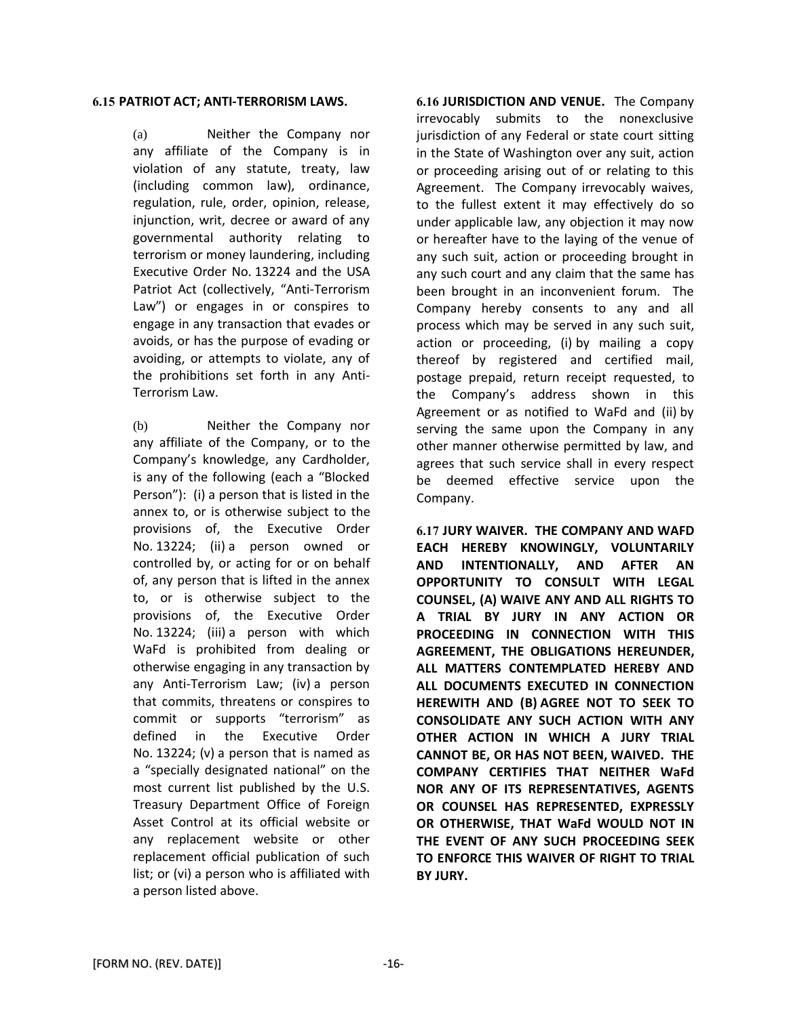#### **6.15 PATRIOT ACT; ANTI-TERRORISM LAWS.**

(a) Neither the Company nor any affiliate of the Company is in violation of any statute, treaty, law (including common law), ordinance, regulation, rule, order, opinion, release, injunction, writ, decree or award of any governmental authority relating to terrorism or money laundering, including Executive Order No. 13224 and the USA Patriot Act (collectively, "Anti-Terrorism Law") or engages in or conspires to engage in any transaction that evades or avoids, or has the purpose of evading or avoiding, or attempts to violate, any of the prohibitions set forth in any Anti-Terrorism Law.

(b) Neither the Company nor any affiliate of the Company, or to the Company's knowledge, any Cardholder, is any of the following (each a "Blocked Person"): (i) a person that is listed in the annex to, or is otherwise subject to the provisions of, the Executive Order No. 13224; (ii) a person owned or controlled by, or acting for or on behalf of, any person that is lifted in the annex to, or is otherwise subject to the provisions of, the Executive Order No. 13224; (iii) a person with which WaFd is prohibited from dealing or otherwise engaging in any transaction by any Anti-Terrorism Law; (iv) a person that commits, threatens or conspires to commit or supports "terrorism" as defined in the Executive Order No. 13224; (v) a person that is named as a "specially designated national" on the most current list published by the U.S. Treasury Department Office of Foreign Asset Control at its official website or any replacement website or other replacement official publication of such list; or (vi) a person who is affiliated with a person listed above.

**6.16 JURISDICTION AND VENUE.** The Company irrevocably submits to the nonexclusive jurisdiction of any Federal or state court sitting in the State of Washington over any suit, action or proceeding arising out of or relating to this Agreement. The Company irrevocably waives, to the fullest extent it may effectively do so under applicable law, any objection it may now or hereafter have to the laying of the venue of any such suit, action or proceeding brought in any such court and any claim that the same has been brought in an inconvenient forum. The Company hereby consents to any and all process which may be served in any such suit, action or proceeding, (i) by mailing a copy thereof by registered and certified mail, postage prepaid, return receipt requested, to the Company's address shown in this Agreement or as notified to WaFd and (ii) by serving the same upon the Company in any other manner otherwise permitted by law, and agrees that such service shall in every respect be deemed effective service upon the Company.

**6.17 JURY WAIVER. THE COMPANY AND WAFD EACH HEREBY KNOWINGLY, VOLUNTARILY AND INTENTIONALLY, AND AFTER AN OPPORTUNITY TO CONSULT WITH LEGAL COUNSEL, (A) WAIVE ANY AND ALL RIGHTS TO A TRIAL BY JURY IN ANY ACTION OR PROCEEDING IN CONNECTION WITH THIS AGREEMENT, THE OBLIGATIONS HEREUNDER, ALL MATTERS CONTEMPLATED HEREBY AND ALL DOCUMENTS EXECUTED IN CONNECTION HEREWITH AND (B) AGREE NOT TO SEEK TO CONSOLIDATE ANY SUCH ACTION WITH ANY OTHER ACTION IN WHICH A JURY TRIAL CANNOT BE, OR HAS NOT BEEN, WAIVED. THE COMPANY CERTIFIES THAT NEITHER WaFd NOR ANY OF ITS REPRESENTATIVES, AGENTS OR COUNSEL HAS REPRESENTED, EXPRESSLY OR OTHERWISE, THAT WaFd WOULD NOT IN THE EVENT OF ANY SUCH PROCEEDING SEEK TO ENFORCE THIS WAIVER OF RIGHT TO TRIAL BY JURY.**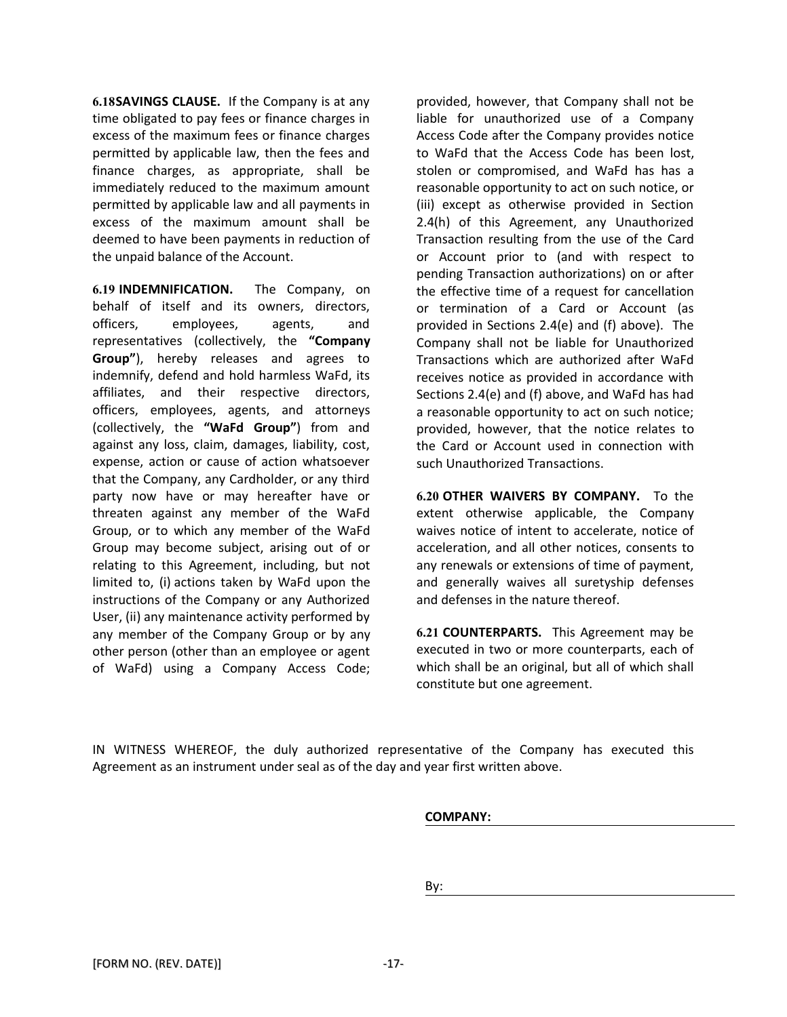**6.18SAVINGS CLAUSE.** If the Company is at any time obligated to pay fees or finance charges in excess of the maximum fees or finance charges permitted by applicable law, then the fees and finance charges, as appropriate, shall be immediately reduced to the maximum amount permitted by applicable law and all payments in excess of the maximum amount shall be deemed to have been payments in reduction of the unpaid balance of the Account.

**6.19 INDEMNIFICATION.** The Company, on behalf of itself and its owners, directors, officers, employees, agents, and representatives (collectively, the **"Company Group"**), hereby releases and agrees to indemnify, defend and hold harmless WaFd, its affiliates, and their respective directors, officers, employees, agents, and attorneys (collectively, the **"WaFd Group"**) from and against any loss, claim, damages, liability, cost, expense, action or cause of action whatsoever that the Company, any Cardholder, or any third party now have or may hereafter have or threaten against any member of the WaFd Group, or to which any member of the WaFd Group may become subject, arising out of or relating to this Agreement, including, but not limited to, (i) actions taken by WaFd upon the instructions of the Company or any Authorized User, (ii) any maintenance activity performed by any member of the Company Group or by any other person (other than an employee or agent of WaFd) using a Company Access Code;

provided, however, that Company shall not be liable for unauthorized use of a Company Access Code after the Company provides notice to WaFd that the Access Code has been lost, stolen or compromised, and WaFd has has a reasonable opportunity to act on such notice, or (iii) except as otherwise provided in Section 2.4(h) of this Agreement, any Unauthorized Transaction resulting from the use of the Card or Account prior to (and with respect to pending Transaction authorizations) on or after the effective time of a request for cancellation or termination of a Card or Account (as provided in Sections 2.4(e) and (f) above). The Company shall not be liable for Unauthorized Transactions which are authorized after WaFd receives notice as provided in accordance with Sections 2.4(e) and (f) above, and WaFd has had a reasonable opportunity to act on such notice; provided, however, that the notice relates to the Card or Account used in connection with such Unauthorized Transactions.

**6.20 OTHER WAIVERS BY COMPANY.** To the extent otherwise applicable, the Company waives notice of intent to accelerate, notice of acceleration, and all other notices, consents to any renewals or extensions of time of payment, and generally waives all suretyship defenses and defenses in the nature thereof.

**6.21 COUNTERPARTS.** This Agreement may be executed in two or more counterparts, each of which shall be an original, but all of which shall constitute but one agreement.

IN WITNESS WHEREOF, the duly authorized representative of the Company has executed this Agreement as an instrument under seal as of the day and year first written above.

**COMPANY:** 

By: